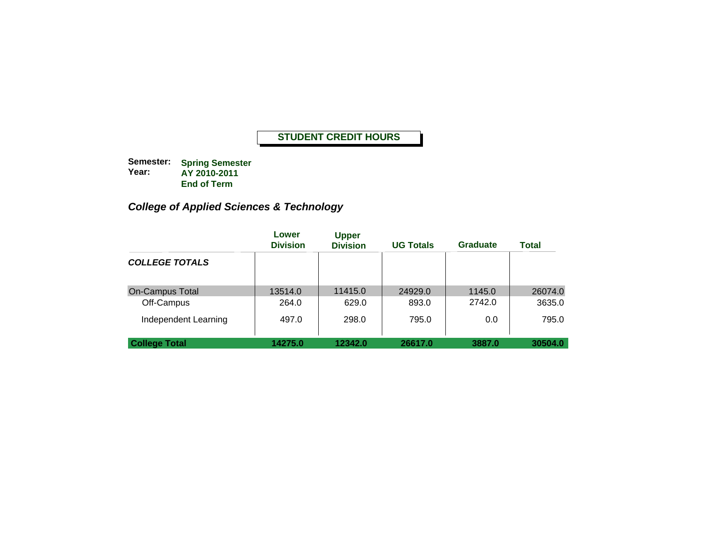**Semester: Year: Spring Semester AY 2010-2011 End of Term**

# *College of Applied Sciences & Technology*

|                        | Lower<br><b>Division</b> | <b>Upper</b><br><b>Division</b> | <b>UG Totals</b> | <b>Graduate</b> | <b>Total</b> |
|------------------------|--------------------------|---------------------------------|------------------|-----------------|--------------|
| <b>COLLEGE TOTALS</b>  |                          |                                 |                  |                 |              |
| <b>On-Campus Total</b> | 13514.0                  | 11415.0                         | 24929.0          | 1145.0          | 26074.0      |
| Off-Campus             | 264.0                    | 629.0                           | 893.0            | 2742.0          | 3635.0       |
| Independent Learning   | 497.0                    | 298.0                           | 795.0            | 0.0             | 795.0        |
| <b>College Total</b>   | 14275.0                  | 12342.0                         | 26617.0          | 3887.0          | 30504.0      |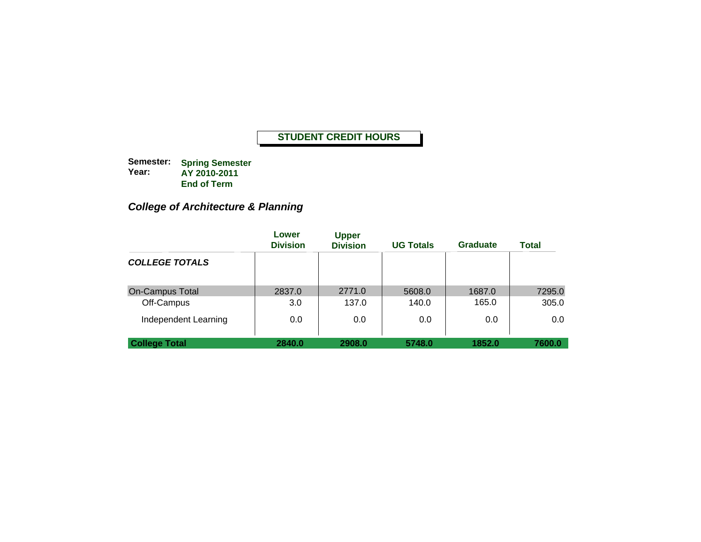**Semester: Year: Spring Semester AY 2010-2011 End of Term**

# *College of Architecture & Planning*

|                        | Lower<br><b>Division</b> | <b>Upper</b><br><b>Division</b> | <b>UG Totals</b> | <b>Graduate</b> | <b>Total</b> |
|------------------------|--------------------------|---------------------------------|------------------|-----------------|--------------|
| <b>COLLEGE TOTALS</b>  |                          |                                 |                  |                 |              |
| <b>On-Campus Total</b> | 2837.0                   | 2771.0                          | 5608.0           | 1687.0          | 7295.0       |
| Off-Campus             | 3.0                      | 137.0                           | 140.0            | 165.0           | 305.0        |
| Independent Learning   | 0.0                      | 0.0                             | 0.0              | 0.0             | 0.0          |
| <b>College Total</b>   | 2840.0                   | 2908.0                          | 5748.0           | 1852.0          | 7600.0       |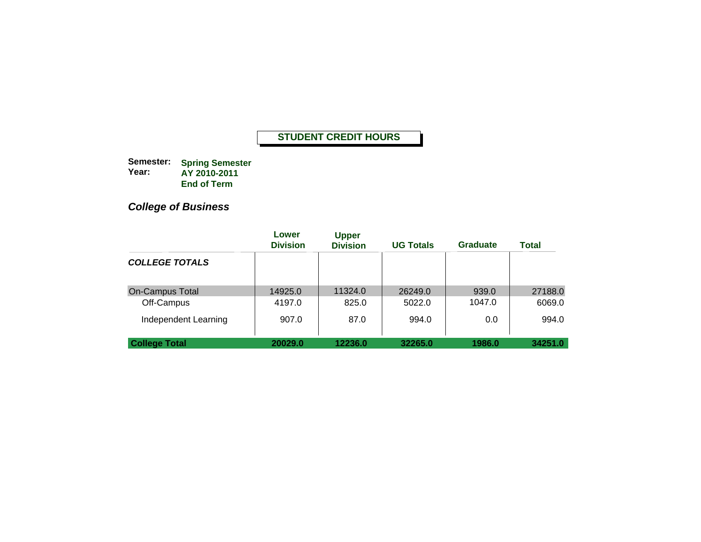**Semester: Year: Spring Semester AY 2010-2011 End of Term**

# *College of Business*

|                        | Lower<br><b>Division</b> | <b>Upper</b><br><b>Division</b> | <b>UG Totals</b> | <b>Graduate</b> | <b>Total</b> |
|------------------------|--------------------------|---------------------------------|------------------|-----------------|--------------|
| <b>COLLEGE TOTALS</b>  |                          |                                 |                  |                 |              |
| <b>On-Campus Total</b> | 14925.0                  | 11324.0                         | 26249.0          | 939.0           | 27188.0      |
| Off-Campus             | 4197.0                   | 825.0                           | 5022.0           | 1047.0          | 6069.0       |
| Independent Learning   | 907.0                    | 87.0                            | 994.0            | 0.0             | 994.0        |
| <b>College Total</b>   | 20029.0                  | 12236.0                         | 32265.0          | 1986.0          | 34251.0      |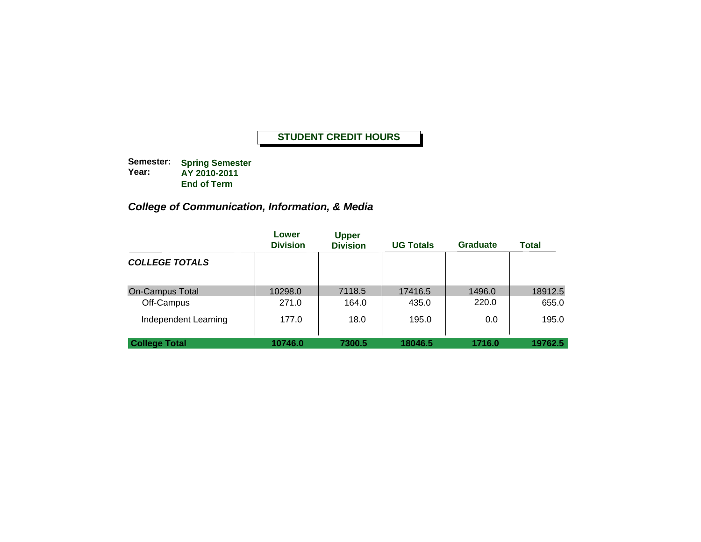**Semester: Year: Spring Semester AY 2010-2011 End of Term**

# *College of Communication, Information, & Media*

|                        | Lower<br><b>Division</b> | <b>Upper</b><br><b>Division</b> | <b>UG Totals</b> | <b>Graduate</b> | <b>Total</b> |
|------------------------|--------------------------|---------------------------------|------------------|-----------------|--------------|
| <b>COLLEGE TOTALS</b>  |                          |                                 |                  |                 |              |
| <b>On-Campus Total</b> | 10298.0                  | 7118.5                          | 17416.5          | 1496.0          | 18912.5      |
| Off-Campus             | 271.0                    | 164.0                           | 435.0            | 220.0           | 655.0        |
| Independent Learning   | 177.0                    | 18.0                            | 195.0            | 0.0             | 195.0        |
| <b>College Total</b>   | 10746.0                  | 7300.5                          | 18046.5          | 1716.0          | 19762.5      |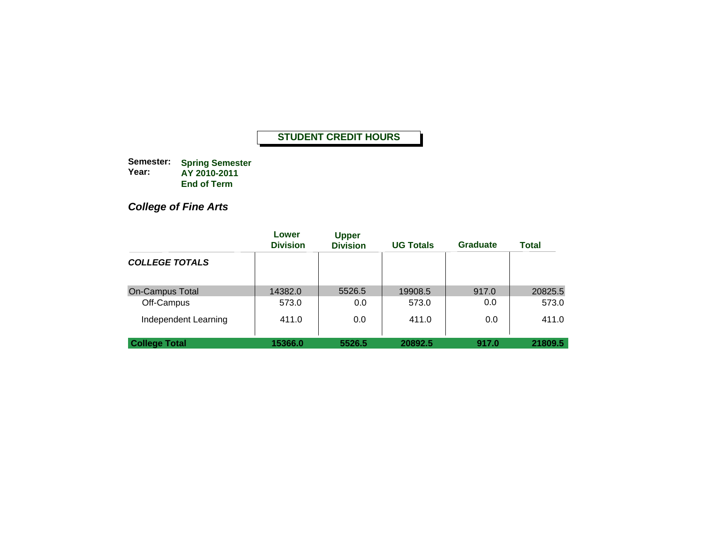**Semester: Year: Spring Semester AY 2010-2011 End of Term**

*College of Fine Arts*

|                        | Lower<br><b>Division</b> | <b>Upper</b><br><b>Division</b> | <b>UG Totals</b> | <b>Graduate</b> | <b>Total</b> |
|------------------------|--------------------------|---------------------------------|------------------|-----------------|--------------|
| <b>COLLEGE TOTALS</b>  |                          |                                 |                  |                 |              |
| <b>On-Campus Total</b> | 14382.0                  | 5526.5                          | 19908.5          | 917.0           | 20825.5      |
| Off-Campus             | 573.0                    | 0.0                             | 573.0            | 0.0             | 573.0        |
| Independent Learning   | 411.0                    | 0.0                             | 411.0            | 0.0             | 411.0        |
| <b>College Total</b>   | 15366.0                  | 5526.5                          | 20892.5          | 917.0           | 21809.5      |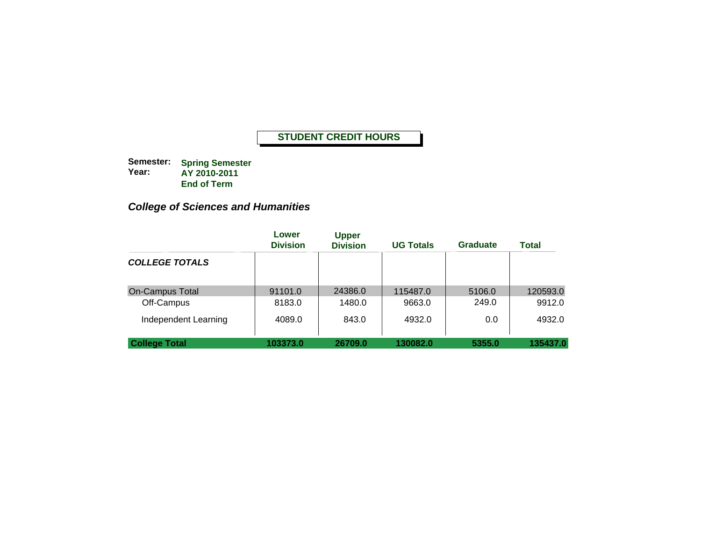**Semester: Year: Spring Semester AY 2010-2011 End of Term**

# *College of Sciences and Humanities*

|                        | Lower<br><b>Division</b> | <b>Upper</b><br><b>Division</b> | <b>UG Totals</b> | <b>Graduate</b> | Total    |
|------------------------|--------------------------|---------------------------------|------------------|-----------------|----------|
| <b>COLLEGE TOTALS</b>  |                          |                                 |                  |                 |          |
| <b>On-Campus Total</b> | 91101.0                  | 24386.0                         | 115487.0         | 5106.0          | 120593.0 |
| Off-Campus             | 8183.0                   | 1480.0                          | 9663.0           | 249.0           | 9912.0   |
| Independent Learning   | 4089.0                   | 843.0                           | 4932.0           | 0.0             | 4932.0   |
| <b>College Total</b>   | 103373.0                 | 26709.0                         | 130082.0         | 5355.0          | 135437.0 |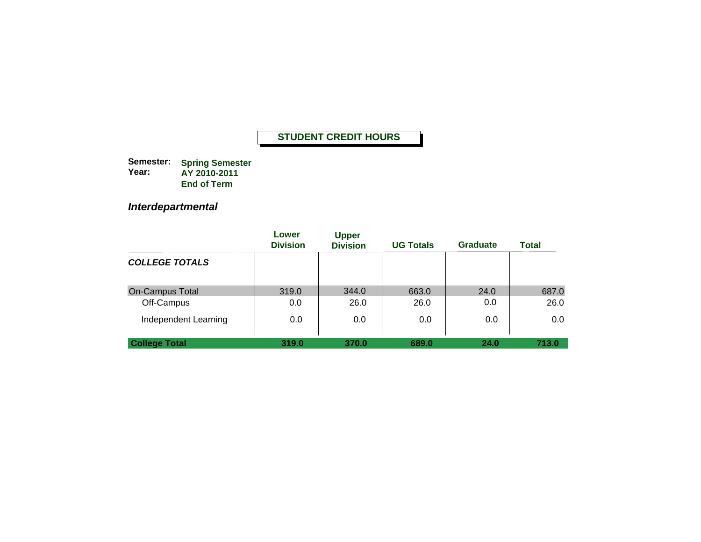**Semester: Year: Spring Semester AY 2010-2011 End of Term**

*Interdepartmental*

|                        | Lower<br><b>Division</b> | <b>Upper</b><br><b>Division</b> | <b>UG Totals</b> | <b>Graduate</b> | <b>Total</b> |
|------------------------|--------------------------|---------------------------------|------------------|-----------------|--------------|
| <b>COLLEGE TOTALS</b>  |                          |                                 |                  |                 |              |
| <b>On-Campus Total</b> | 319.0                    | 344.0                           | 663.0            | 24.0            | 687.0        |
| Off-Campus             | 0.0                      | 26.0                            | 26.0             | 0.0             | 26.0         |
| Independent Learning   | 0.0                      | 0.0                             | 0.0              | 0.0             | $0.0\,$      |
| <b>College Total</b>   | 319.0                    | 370.0                           | 689.0            | 24.0            | 713.0        |